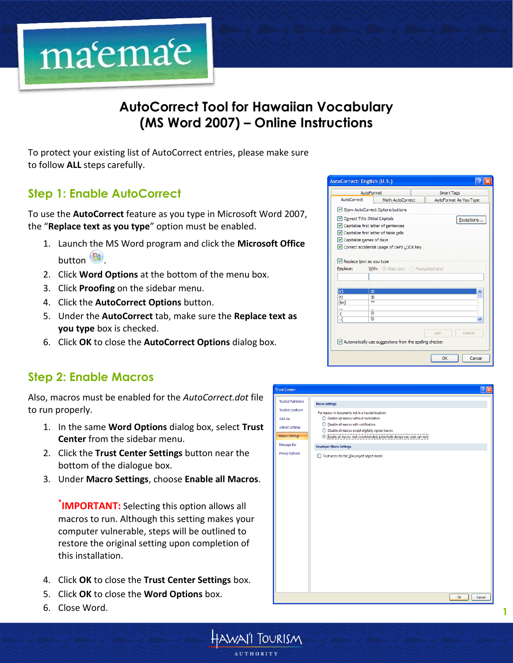

# **AutoCorrect Tool for Hawaiian Vocabulary (MS Word 2007) – Online Instructions**

HAWAII |OURISM

To protect your existing list of AutoCorrect entries, please make sure to follow **ALL** steps carefully.

# **Step 1: Enable AutoCorrect**

To use the **AutoCorrect** feature as you type in Microsoft Word 2007, the "**Replace text as you type**" option must be enabled.

- 1. Launch the MS Word program and click the **Microsoft Office** button  $\left( \frac{\mathbf{B}}{\mathbf{B}} \right)$ .
- 2. Click **Word Options** at the bottom of the menu box.
- 3. Click **Proofing** on the sidebar menu.
- 4. Click the **AutoCorrect Options** button.
- 5. Under the **AutoCorrect** tab, make sure the **Replace text as you type** box is checked.
- 6. Click **OK** to close the **AutoCorrect Options** dialog box.

#### **Step 2: Enable Macros**

Also, macros must be enabled for the *AutoCorrect.dot* file to run properly.

- 1. In the same **Word Options** dialog box, select **Trust Center** from the sidebar menu.
- 2. Click the **Trust Center Settings** button near the bottom of the dialogue box.
- 3. Under **Macro Settings**, choose **Enable all Macros**.

**\* IMPORTANT:** Selecting this option allows all macros to run. Although this setting makes your computer vulnerable, steps will be outlined to restore the original setting upon completion of this installation.

- 4. Click **OK** to close the **Trust Center Settings** box.
- 5. Click **OK** to close the **Word Options** box.
- 6. Close Word.

| AutoFormat<br>AutoCorrect<br>Math AutoCorrect<br>Show AutoCorrect Options buttons<br>Correct TWo INitial CApitals<br>Capitalize first letter of sentences<br>Capitalize first letter of table cells<br>$\triangledown$ Capitalize names of days<br>Orrect accidental usage of cAPS LOCK key<br>Replace text as you type<br>Replace:<br>$\vert$ (c)<br>$\circled{c}$<br>(r)<br>®<br>ŦМ<br>(tm)<br><br><br>6<br>:(<br>۵<br>Н | <b>Smart Tags</b><br>AutoFormat As You Type<br>Exceptions |  |  |  |  |  |
|----------------------------------------------------------------------------------------------------------------------------------------------------------------------------------------------------------------------------------------------------------------------------------------------------------------------------------------------------------------------------------------------------------------------------|-----------------------------------------------------------|--|--|--|--|--|
|                                                                                                                                                                                                                                                                                                                                                                                                                            |                                                           |  |  |  |  |  |
|                                                                                                                                                                                                                                                                                                                                                                                                                            |                                                           |  |  |  |  |  |
|                                                                                                                                                                                                                                                                                                                                                                                                                            |                                                           |  |  |  |  |  |
|                                                                                                                                                                                                                                                                                                                                                                                                                            |                                                           |  |  |  |  |  |
|                                                                                                                                                                                                                                                                                                                                                                                                                            |                                                           |  |  |  |  |  |
|                                                                                                                                                                                                                                                                                                                                                                                                                            |                                                           |  |  |  |  |  |
|                                                                                                                                                                                                                                                                                                                                                                                                                            |                                                           |  |  |  |  |  |
|                                                                                                                                                                                                                                                                                                                                                                                                                            |                                                           |  |  |  |  |  |
|                                                                                                                                                                                                                                                                                                                                                                                                                            |                                                           |  |  |  |  |  |
|                                                                                                                                                                                                                                                                                                                                                                                                                            | <b>With:</b> $\odot$ Plain text $\odot$ Formatted text    |  |  |  |  |  |
|                                                                                                                                                                                                                                                                                                                                                                                                                            |                                                           |  |  |  |  |  |
|                                                                                                                                                                                                                                                                                                                                                                                                                            |                                                           |  |  |  |  |  |
|                                                                                                                                                                                                                                                                                                                                                                                                                            |                                                           |  |  |  |  |  |
|                                                                                                                                                                                                                                                                                                                                                                                                                            |                                                           |  |  |  |  |  |
|                                                                                                                                                                                                                                                                                                                                                                                                                            |                                                           |  |  |  |  |  |
|                                                                                                                                                                                                                                                                                                                                                                                                                            |                                                           |  |  |  |  |  |
|                                                                                                                                                                                                                                                                                                                                                                                                                            |                                                           |  |  |  |  |  |
|                                                                                                                                                                                                                                                                                                                                                                                                                            |                                                           |  |  |  |  |  |
| Add                                                                                                                                                                                                                                                                                                                                                                                                                        |                                                           |  |  |  |  |  |
|                                                                                                                                                                                                                                                                                                                                                                                                                            | Delete                                                    |  |  |  |  |  |
| $\vee$ Automatically use suggestions from the spelling checker                                                                                                                                                                                                                                                                                                                                                             |                                                           |  |  |  |  |  |
|                                                                                                                                                                                                                                                                                                                                                                                                                            |                                                           |  |  |  |  |  |
| OK                                                                                                                                                                                                                                                                                                                                                                                                                         |                                                           |  |  |  |  |  |

|                                                                                                                                                                                      |                                                                                                                                                                                                                                                                                                                                                                                                            | $\sqrt{2}$ |
|--------------------------------------------------------------------------------------------------------------------------------------------------------------------------------------|------------------------------------------------------------------------------------------------------------------------------------------------------------------------------------------------------------------------------------------------------------------------------------------------------------------------------------------------------------------------------------------------------------|------------|
| <b>Trust Center</b><br><b>Trusted Publishers</b><br><b>Trusted Locations</b><br>Add-ins<br><b>ActiveX Settings</b><br><b>Macro Settings</b><br>Message Bar<br><b>Privacy Options</b> | <b>Macro Settings</b><br>For macros in documents not in a trusted location:<br>◯ Disable all macros without notification<br>Disable all macros with notification<br>О<br>$\bigcirc$ Disable all macros except digitally signed macros<br>Signable all macros (not recommended; potentially dangerous code can run)<br><b>Developer Macro Settings</b><br>Trust access to the VBA project object model<br>п |            |
|                                                                                                                                                                                      | OK                                                                                                                                                                                                                                                                                                                                                                                                         | Cancel     |

**1**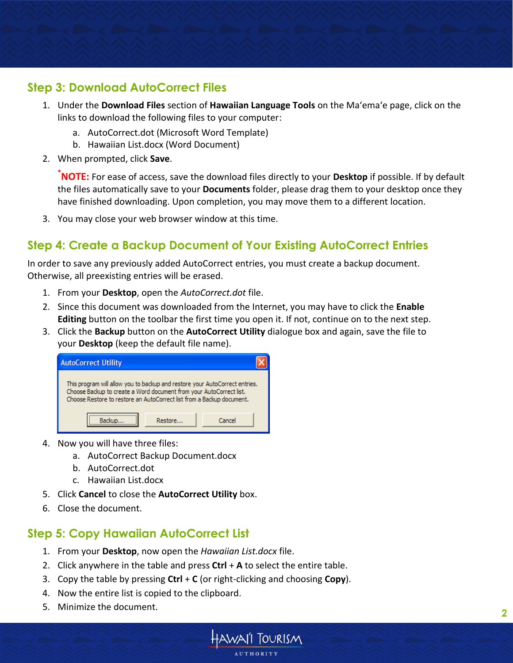### **Step 3: Download AutoCorrect Files**

- 1. Under the **Download Files** section of **Hawaiian Language Tools** on the Ma'ema'e page, click on the links to download the following files to your computer:
	- a. AutoCorrect.dot (Microsoft Word Template)
	- b. Hawaiian List.docx (Word Document)
- 2. When prompted, click **Save**.

**\*NOTE:** For ease of access, save the download files directly to your **Desktop** if possible. If by default the files automatically save to your **Documents** folder, please drag them to your desktop once they have finished downloading. Upon completion, you may move them to a different location.

3. You may close your web browser window at this time.

### **Step 4: Create a Backup Document of Your Existing AutoCorrect Entries**

In order to save any previously added AutoCorrect entries, you must create a backup document. Otherwise, all preexisting entries will be erased.

- 1. From your **Desktop**, open the *AutoCorrect.dot* file.
- 2. Since this document was downloaded from the Internet, you may have to click the **Enable Editing** button on the toolbar the first time you open it. If not, continue on to the next step.
- 3. Click the **Backup** button on the **AutoCorrect Utility** dialogue box and again, save the file to your **Desktop** (keep the default file name).

| <b>AutoCorrect Utility</b>                                                                                                                                                                                                  |         |        |  |  |  |  |
|-----------------------------------------------------------------------------------------------------------------------------------------------------------------------------------------------------------------------------|---------|--------|--|--|--|--|
| This program will allow you to backup and restore your AutoCorrect entries.<br>Choose Backup to create a Word document from your AutoCorrect list.<br>Choose Restore to restore an AutoCorrect list from a Backup document. |         |        |  |  |  |  |
|                                                                                                                                                                                                                             | Restore | Cancel |  |  |  |  |

- 4. Now you will have three files:
	- a. AutoCorrect Backup Document.docx
	- b. AutoCorrect.dot
	- c. Hawaiian List.docx
- 5. Click **Cancel** to close the **AutoCorrect Utility** box.
- 6. Close the document.

#### **Step 5: Copy Hawaiian AutoCorrect List**

- 1. From your **Desktop**, now open the *Hawaiian List.docx* file.
- 2. Click anywhere in the table and press **Ctrl** + **A** to select the entire table.
- 3. Copy the table by pressing **Ctrl** + **C** (or right-clicking and choosing **Copy**).
- 4. Now the entire list is copied to the clipboard.
- 5. Minimize the document. **<sup>2</sup>**